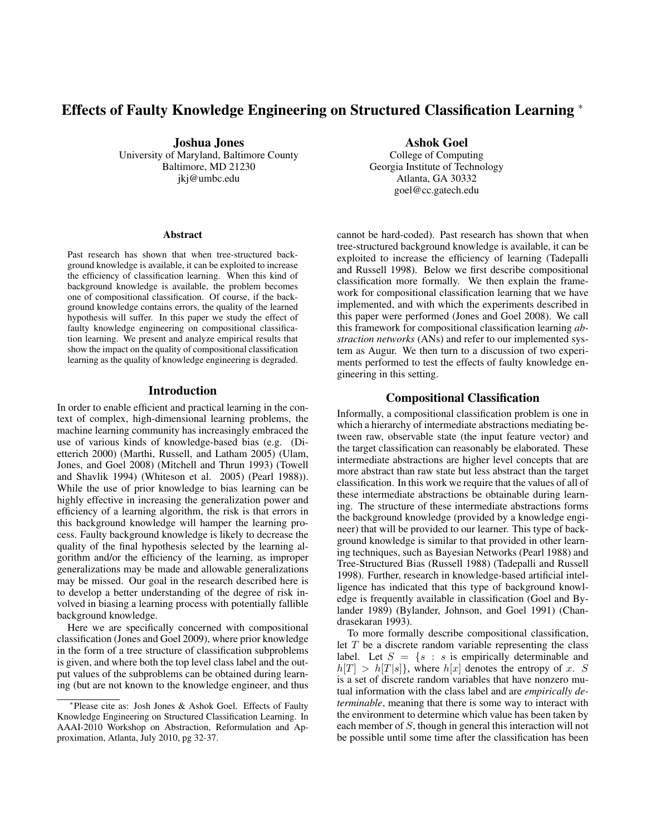# Effects of Faulty Knowledge Engineering on Structured Classification Learning <sup>∗</sup>

Joshua Jones University of Maryland, Baltimore County Baltimore, MD 21230 jkj@umbc.edu

#### Abstract

Past research has shown that when tree-structured background knowledge is available, it can be exploited to increase the efficiency of classification learning. When this kind of background knowledge is available, the problem becomes one of compositional classification. Of course, if the background knowledge contains errors, the quality of the learned hypothesis will suffer. In this paper we study the effect of faulty knowledge engineering on compositional classification learning. We present and analyze empirical results that show the impact on the quality of compositional classification learning as the quality of knowledge engineering is degraded.

### Introduction

In order to enable efficient and practical learning in the context of complex, high-dimensional learning problems, the machine learning community has increasingly embraced the use of various kinds of knowledge-based bias (e.g. (Dietterich 2000) (Marthi, Russell, and Latham 2005) (Ulam, Jones, and Goel 2008) (Mitchell and Thrun 1993) (Towell and Shavlik 1994) (Whiteson et al. 2005) (Pearl 1988)). While the use of prior knowledge to bias learning can be highly effective in increasing the generalization power and efficiency of a learning algorithm, the risk is that errors in this background knowledge will hamper the learning process. Faulty background knowledge is likely to decrease the quality of the final hypothesis selected by the learning algorithm and/or the efficiency of the learning, as improper generalizations may be made and allowable generalizations may be missed. Our goal in the research described here is to develop a better understanding of the degree of risk involved in biasing a learning process with potentially fallible background knowledge.

Here we are specifically concerned with compositional classification (Jones and Goel 2009), where prior knowledge in the form of a tree structure of classification subproblems is given, and where both the top level class label and the output values of the subproblems can be obtained during learning (but are not known to the knowledge engineer, and thus

Ashok Goel

College of Computing Georgia Institute of Technology Atlanta, GA 30332 goel@cc.gatech.edu

cannot be hard-coded). Past research has shown that when tree-structured background knowledge is available, it can be exploited to increase the efficiency of learning (Tadepalli and Russell 1998). Below we first describe compositional classification more formally. We then explain the framework for compositional classification learning that we have implemented, and with which the experiments described in this paper were performed (Jones and Goel 2008). We call this framework for compositional classification learning *abstraction networks* (ANs) and refer to our implemented system as Augur. We then turn to a discussion of two experiments performed to test the effects of faulty knowledge engineering in this setting.

### Compositional Classification

Informally, a compositional classification problem is one in which a hierarchy of intermediate abstractions mediating between raw, observable state (the input feature vector) and the target classification can reasonably be elaborated. These intermediate abstractions are higher level concepts that are more abstract than raw state but less abstract than the target classification. In this work we require that the values of all of these intermediate abstractions be obtainable during learning. The structure of these intermediate abstractions forms the background knowledge (provided by a knowledge engineer) that will be provided to our learner. This type of background knowledge is similar to that provided in other learning techniques, such as Bayesian Networks (Pearl 1988) and Tree-Structured Bias (Russell 1988) (Tadepalli and Russell 1998). Further, research in knowledge-based artificial intelligence has indicated that this type of background knowledge is frequently available in classification (Goel and Bylander 1989) (Bylander, Johnson, and Goel 1991) (Chandrasekaran 1993).

To more formally describe compositional classification, let  $T$  be a discrete random variable representing the class label. Let  $S = \{s : s \text{ is empirically determinable and }\}$  $h[T] > h[T|s]$ , where  $h[x]$  denotes the entropy of x. S is a set of discrete random variables that have nonzero mutual information with the class label and are *empirically determinable*, meaning that there is some way to interact with the environment to determine which value has been taken by each member of S, though in general this interaction will not be possible until some time after the classification has been

<sup>∗</sup> Please cite as: Josh Jones & Ashok Goel. Effects of Faulty Knowledge Engineering on Structured Classification Learning. In AAAI-2010 Workshop on Abstraction, Reformulation and Approximation, Atlanta, July 2010, pg 32-37.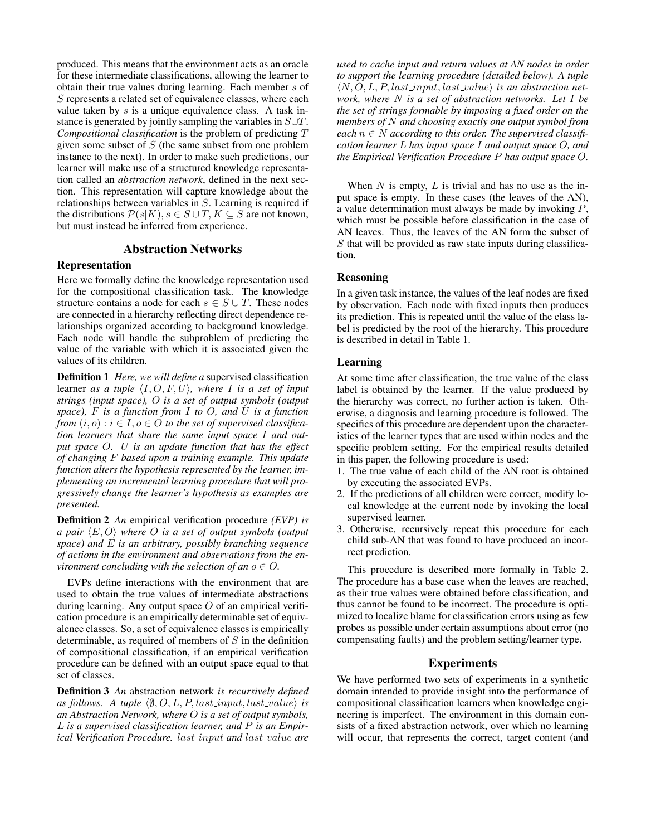produced. This means that the environment acts as an oracle for these intermediate classifications, allowing the learner to obtain their true values during learning. Each member s of S represents a related set of equivalence classes, where each value taken by  $s$  is a unique equivalence class. A task instance is generated by jointly sampling the variables in S∪T. *Compositional classification* is the problem of predicting T given some subset of  $S$  (the same subset from one problem instance to the next). In order to make such predictions, our learner will make use of a structured knowledge representation called an *abstraction network*, defined in the next section. This representation will capture knowledge about the relationships between variables in S. Learning is required if the distributions  $P(s|K)$ ,  $s \in S \cup T$ ,  $K \subseteq S$  are not known, but must instead be inferred from experience.

## Abstraction Networks

### Representation

Here we formally define the knowledge representation used for the compositional classification task. The knowledge structure contains a node for each  $s \in S \cup T$ . These nodes are connected in a hierarchy reflecting direct dependence relationships organized according to background knowledge. Each node will handle the subproblem of predicting the value of the variable with which it is associated given the values of its children.

Definition 1 *Here, we will define a* supervised classification learner *as a tuple*  $\langle I, O, F, U \rangle$ *, where I is a set of input strings (input space),* O *is a set of output symbols (output space),* F *is a function from* I *to* O*, and* U *is a function from*  $(i, o) : i \in I, o \in O$  *to the set of supervised classification learners that share the same input space* I *and output space* O*.* U *is an update function that has the effect of changing* F *based upon a training example. This update function alters the hypothesis represented by the learner, implementing an incremental learning procedure that will progressively change the learner's hypothesis as examples are presented.*

Definition 2 *An* empirical verification procedure *(EVP) is a pair*  $\langle E, O \rangle$  *where O is a set of output symbols (output space) and* E *is an arbitrary, possibly branching sequence of actions in the environment and observations from the environment concluding with the selection of an*  $o \in O$ .

EVPs define interactions with the environment that are used to obtain the true values of intermediate abstractions during learning. Any output space  $O$  of an empirical verification procedure is an empirically determinable set of equivalence classes. So, a set of equivalence classes is empirically determinable, as required of members of  $S$  in the definition of compositional classification, if an empirical verification procedure can be defined with an output space equal to that set of classes.

Definition 3 *An* abstraction network *is recursively defined as follows.* A tuple  $\langle \emptyset, O, L, P, last\_input, last\_value \rangle$  *is an Abstraction Network, where* O *is a set of output symbols,* L *is a supervised classification learner, and* P *is an Empirical Verification Procedure.* last\_input and last\_value are *used to cache input and return values at AN nodes in order to support the learning procedure (detailed below). A tuple*  $\langle N, O, L, P \rangle$ , last\_input, last\_value $\rangle$  *is an abstraction network, where* N *is a set of abstraction networks. Let* I *be the set of strings formable by imposing a fixed order on the members of* N *and choosing exactly one output symbol from* each  $n \in N$  according to this order. The supervised classifi*cation learner* L *has input space* I *and output space* O*, and the Empirical Verification Procedure* P *has output space* O*.*

When  $N$  is empty,  $L$  is trivial and has no use as the input space is empty. In these cases (the leaves of the AN), a value determination must always be made by invoking P, which must be possible before classification in the case of AN leaves. Thus, the leaves of the AN form the subset of  $S$  that will be provided as raw state inputs during classification.

#### Reasoning

In a given task instance, the values of the leaf nodes are fixed by observation. Each node with fixed inputs then produces its prediction. This is repeated until the value of the class label is predicted by the root of the hierarchy. This procedure is described in detail in Table 1.

#### Learning

At some time after classification, the true value of the class label is obtained by the learner. If the value produced by the hierarchy was correct, no further action is taken. Otherwise, a diagnosis and learning procedure is followed. The specifics of this procedure are dependent upon the characteristics of the learner types that are used within nodes and the specific problem setting. For the empirical results detailed in this paper, the following procedure is used:

- 1. The true value of each child of the AN root is obtained by executing the associated EVPs.
- 2. If the predictions of all children were correct, modify local knowledge at the current node by invoking the local supervised learner.
- 3. Otherwise, recursively repeat this procedure for each child sub-AN that was found to have produced an incorrect prediction.

This procedure is described more formally in Table 2. The procedure has a base case when the leaves are reached, as their true values were obtained before classification, and thus cannot be found to be incorrect. The procedure is optimized to localize blame for classification errors using as few probes as possible under certain assumptions about error (no compensating faults) and the problem setting/learner type.

### **Experiments**

We have performed two sets of experiments in a synthetic domain intended to provide insight into the performance of compositional classification learners when knowledge engineering is imperfect. The environment in this domain consists of a fixed abstraction network, over which no learning will occur, that represents the correct, target content (and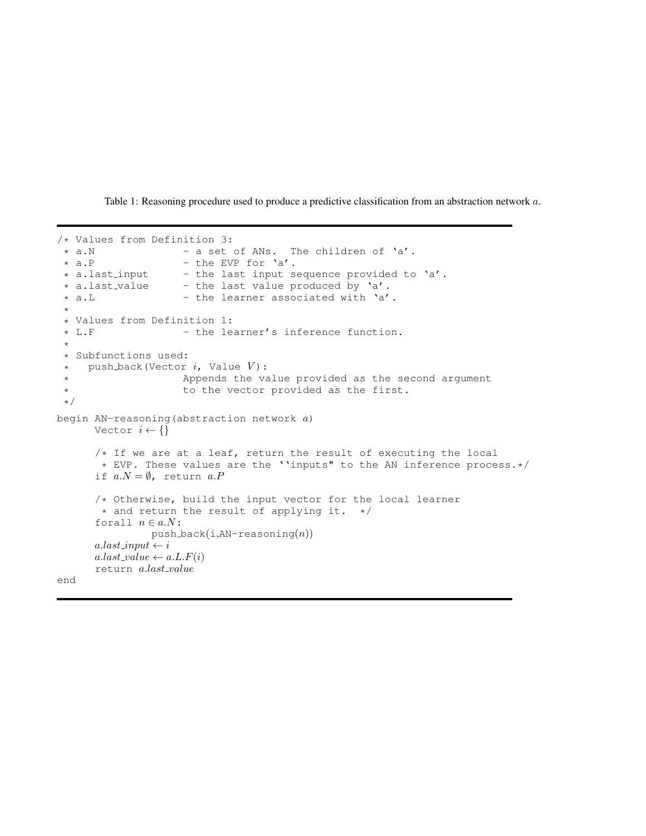Table 1: Reasoning procedure used to produce a predictive classification from an abstraction network a.

```
/* Values from Definition 3:<br>* a.N - a set* a.N - a set of ANs. The children of 'a'.<br>* a.P - the EVP for 'a'.- the EVP for 'a'.
 * a.last_input - the last input sequence provided to 'a'.<br>* a.last_value - the last value produced by 'a'.
                     - the last value produced by 'a'.
 * a.L + - the learner associated with 'a'.
 *
 * Values from Definition 1:
                     - the learner's inference function.
 *
 * Subfunctions used:
 * push_back(Vector i, Value V):
 * Appends the value provided as the second argument
 * to the vector provided as the first.
 \star/begin AN-reasoning (abstraction network a)
      Vector i \leftarrow \{\}/* If we are at a leaf, return the result of executing the local
       * EVP. These values are the ''inputs" to the AN inference process.*/
      if a.N = \emptyset, return a.P/* Otherwise, build the input vector for the local learner
       * and return the result of applying it. */
      forall n \in a.N:
                push-back(i, AN-reasoning(n))a. last\_input \leftarrow ia. last\_value \leftarrow a.L.F(i)return a.last_value
end
```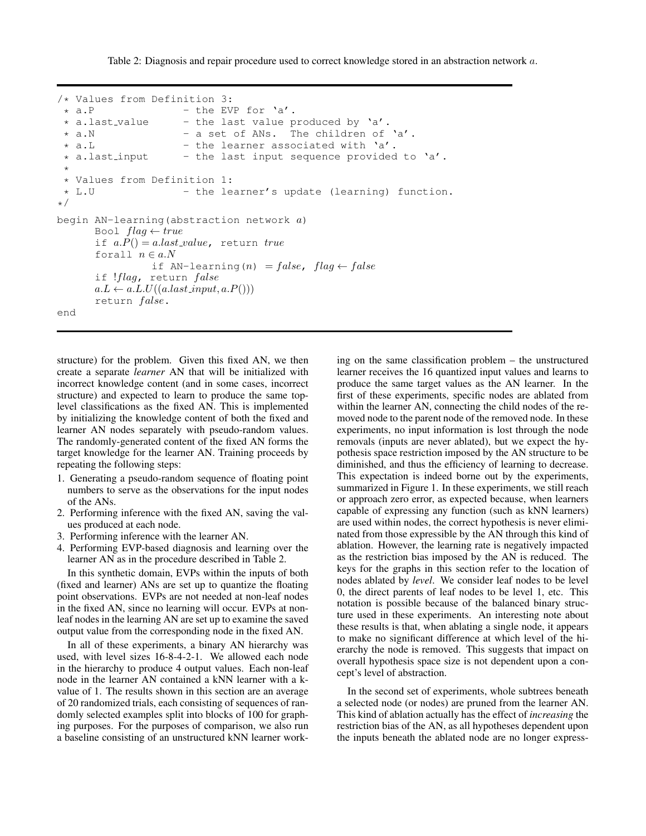Table 2: Diagnosis and repair procedure used to correct knowledge stored in an abstraction network a.

```
/* Values from Definition 3:<br>* a.P - the EV
   a.P - the EVP for 'a'.<br>a.last_value - the last value p
 * a.last_value - the last value produced by 'a'.<br>* a.N - a set of ANs. The children of
 * a.N - a set of ANs. The children of 'a'.<br>* a.L - the learner associated with 'a'.
   a.L - the learner associated with 'a'.<br>a.last_input - the last input sequence provided
 * a.last input - the last input sequence provided to 'a'.
 *
 * Values from Definition 1:
 * L.U - the learner's update (learning) function.
*/
begin AN-learning (abstraction network a)
        Bool flag \leftarrow trueif a.P() = a last_value, return true
        forall n \in a.Nif AN-learning(n) = false, flag \leftarrow falseif !flag, return false
        a.L \leftarrow a.L.U((a.last\_input, a.P())return false.
end
```
structure) for the problem. Given this fixed AN, we then create a separate *learner* AN that will be initialized with incorrect knowledge content (and in some cases, incorrect structure) and expected to learn to produce the same toplevel classifications as the fixed AN. This is implemented by initializing the knowledge content of both the fixed and learner AN nodes separately with pseudo-random values. The randomly-generated content of the fixed AN forms the target knowledge for the learner AN. Training proceeds by repeating the following steps:

- 1. Generating a pseudo-random sequence of floating point numbers to serve as the observations for the input nodes of the ANs.
- 2. Performing inference with the fixed AN, saving the values produced at each node.
- 3. Performing inference with the learner AN.
- 4. Performing EVP-based diagnosis and learning over the learner AN as in the procedure described in Table 2.

In this synthetic domain, EVPs within the inputs of both (fixed and learner) ANs are set up to quantize the floating point observations. EVPs are not needed at non-leaf nodes in the fixed AN, since no learning will occur. EVPs at nonleaf nodes in the learning AN are set up to examine the saved output value from the corresponding node in the fixed AN.

In all of these experiments, a binary AN hierarchy was used, with level sizes 16-8-4-2-1. We allowed each node in the hierarchy to produce 4 output values. Each non-leaf node in the learner AN contained a kNN learner with a kvalue of 1. The results shown in this section are an average of 20 randomized trials, each consisting of sequences of randomly selected examples split into blocks of 100 for graphing purposes. For the purposes of comparison, we also run a baseline consisting of an unstructured kNN learner work-

ing on the same classification problem – the unstructured learner receives the 16 quantized input values and learns to produce the same target values as the AN learner. In the first of these experiments, specific nodes are ablated from within the learner AN, connecting the child nodes of the removed node to the parent node of the removed node. In these experiments, no input information is lost through the node removals (inputs are never ablated), but we expect the hypothesis space restriction imposed by the AN structure to be diminished, and thus the efficiency of learning to decrease. This expectation is indeed borne out by the experiments, summarized in Figure 1. In these experiments, we still reach or approach zero error, as expected because, when learners capable of expressing any function (such as kNN learners) are used within nodes, the correct hypothesis is never eliminated from those expressible by the AN through this kind of ablation. However, the learning rate is negatively impacted as the restriction bias imposed by the AN is reduced. The keys for the graphs in this section refer to the location of nodes ablated by *level*. We consider leaf nodes to be level 0, the direct parents of leaf nodes to be level 1, etc. This notation is possible because of the balanced binary structure used in these experiments. An interesting note about these results is that, when ablating a single node, it appears to make no significant difference at which level of the hierarchy the node is removed. This suggests that impact on overall hypothesis space size is not dependent upon a concept's level of abstraction.

In the second set of experiments, whole subtrees beneath a selected node (or nodes) are pruned from the learner AN. This kind of ablation actually has the effect of *increasing* the restriction bias of the AN, as all hypotheses dependent upon the inputs beneath the ablated node are no longer express-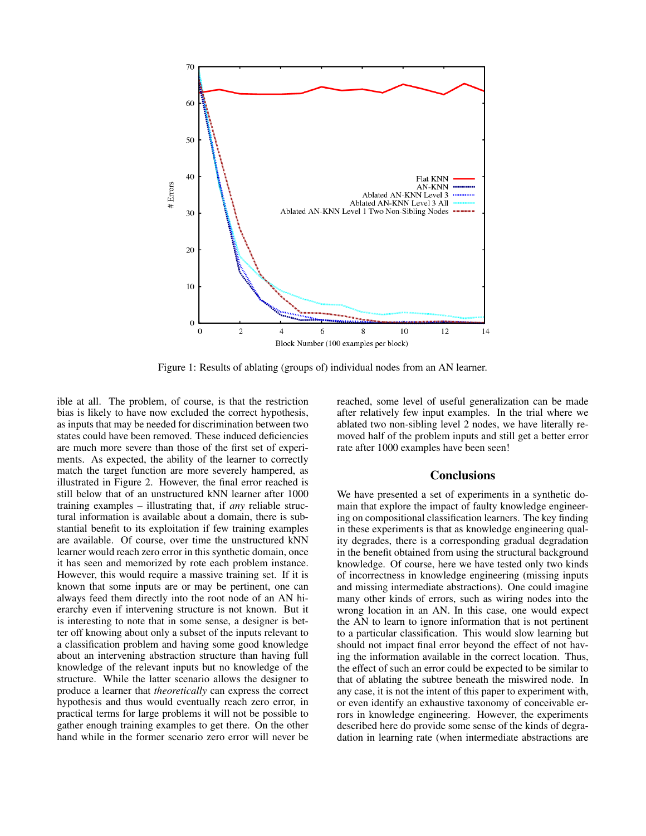

Figure 1: Results of ablating (groups of) individual nodes from an AN learner.

ible at all. The problem, of course, is that the restriction bias is likely to have now excluded the correct hypothesis, as inputs that may be needed for discrimination between two states could have been removed. These induced deficiencies are much more severe than those of the first set of experiments. As expected, the ability of the learner to correctly match the target function are more severely hampered, as illustrated in Figure 2. However, the final error reached is still below that of an unstructured kNN learner after 1000 training examples – illustrating that, if *any* reliable structural information is available about a domain, there is substantial benefit to its exploitation if few training examples are available. Of course, over time the unstructured kNN learner would reach zero error in this synthetic domain, once it has seen and memorized by rote each problem instance. However, this would require a massive training set. If it is known that some inputs are or may be pertinent, one can always feed them directly into the root node of an AN hierarchy even if intervening structure is not known. But it is interesting to note that in some sense, a designer is better off knowing about only a subset of the inputs relevant to a classification problem and having some good knowledge about an intervening abstraction structure than having full knowledge of the relevant inputs but no knowledge of the structure. While the latter scenario allows the designer to produce a learner that *theoretically* can express the correct hypothesis and thus would eventually reach zero error, in practical terms for large problems it will not be possible to gather enough training examples to get there. On the other hand while in the former scenario zero error will never be

reached, some level of useful generalization can be made after relatively few input examples. In the trial where we ablated two non-sibling level 2 nodes, we have literally removed half of the problem inputs and still get a better error rate after 1000 examples have been seen!

## **Conclusions**

We have presented a set of experiments in a synthetic domain that explore the impact of faulty knowledge engineering on compositional classification learners. The key finding in these experiments is that as knowledge engineering quality degrades, there is a corresponding gradual degradation in the benefit obtained from using the structural background knowledge. Of course, here we have tested only two kinds of incorrectness in knowledge engineering (missing inputs and missing intermediate abstractions). One could imagine many other kinds of errors, such as wiring nodes into the wrong location in an AN. In this case, one would expect the AN to learn to ignore information that is not pertinent to a particular classification. This would slow learning but should not impact final error beyond the effect of not having the information available in the correct location. Thus, the effect of such an error could be expected to be similar to that of ablating the subtree beneath the miswired node. In any case, it is not the intent of this paper to experiment with, or even identify an exhaustive taxonomy of conceivable errors in knowledge engineering. However, the experiments described here do provide some sense of the kinds of degradation in learning rate (when intermediate abstractions are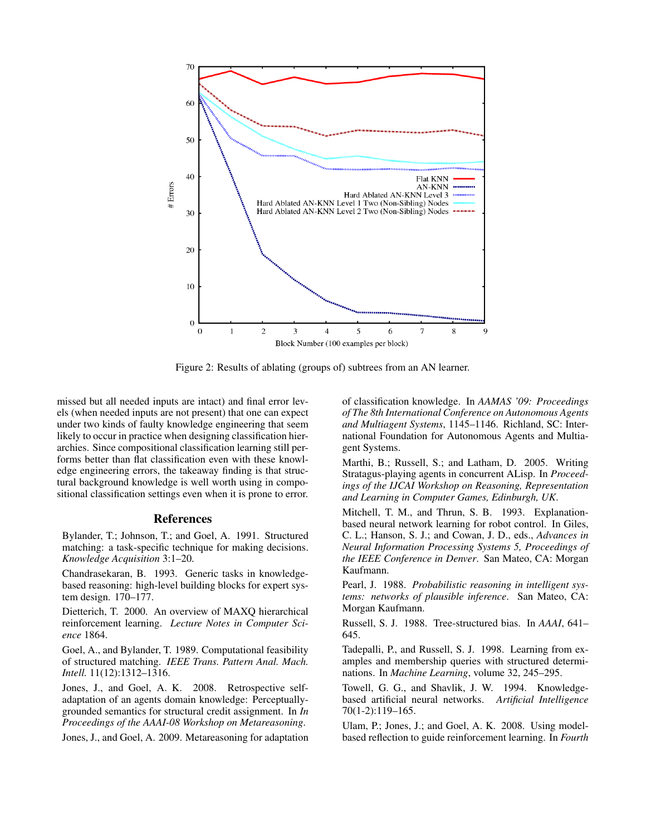

Figure 2: Results of ablating (groups of) subtrees from an AN learner.

missed but all needed inputs are intact) and final error levels (when needed inputs are not present) that one can expect under two kinds of faulty knowledge engineering that seem likely to occur in practice when designing classification hierarchies. Since compositional classification learning still performs better than flat classification even with these knowledge engineering errors, the takeaway finding is that structural background knowledge is well worth using in compositional classification settings even when it is prone to error.

#### References

Bylander, T.; Johnson, T.; and Goel, A. 1991. Structured matching: a task-specific technique for making decisions. *Knowledge Acquisition* 3:1–20.

Chandrasekaran, B. 1993. Generic tasks in knowledgebased reasoning: high-level building blocks for expert system design. 170–177.

Dietterich, T. 2000. An overview of MAXQ hierarchical reinforcement learning. *Lecture Notes in Computer Science* 1864.

Goel, A., and Bylander, T. 1989. Computational feasibility of structured matching. *IEEE Trans. Pattern Anal. Mach. Intell.* 11(12):1312–1316.

Jones, J., and Goel, A. K. 2008. Retrospective selfadaptation of an agents domain knowledge: Perceptuallygrounded semantics for structural credit assignment. In *In Proceedings of the AAAI-08 Workshop on Metareasoning*.

Jones, J., and Goel, A. 2009. Metareasoning for adaptation

of classification knowledge. In *AAMAS '09: Proceedings of The 8th International Conference on Autonomous Agents and Multiagent Systems*, 1145–1146. Richland, SC: International Foundation for Autonomous Agents and Multiagent Systems.

Marthi, B.; Russell, S.; and Latham, D. 2005. Writing Stratagus-playing agents in concurrent ALisp. In *Proceedings of the IJCAI Workshop on Reasoning, Representation and Learning in Computer Games, Edinburgh, UK*.

Mitchell, T. M., and Thrun, S. B. 1993. Explanationbased neural network learning for robot control. In Giles, C. L.; Hanson, S. J.; and Cowan, J. D., eds., *Advances in Neural Information Processing Systems 5, Proceedings of the IEEE Conference in Denver*. San Mateo, CA: Morgan Kaufmann.

Pearl, J. 1988. *Probabilistic reasoning in intelligent systems: networks of plausible inference*. San Mateo, CA: Morgan Kaufmann.

Russell, S. J. 1988. Tree-structured bias. In *AAAI*, 641– 645.

Tadepalli, P., and Russell, S. J. 1998. Learning from examples and membership queries with structured determinations. In *Machine Learning*, volume 32, 245–295.

Towell, G. G., and Shavlik, J. W. 1994. Knowledgebased artificial neural networks. *Artificial Intelligence* 70(1-2):119–165.

Ulam, P.; Jones, J.; and Goel, A. K. 2008. Using modelbased reflection to guide reinforcement learning. In *Fourth*